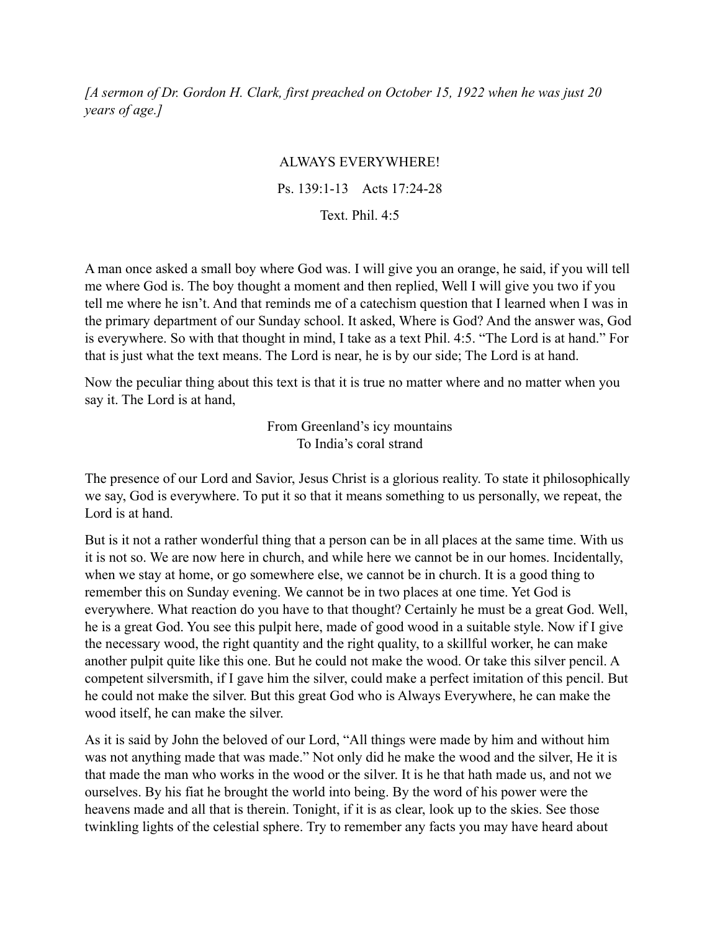*[A sermon of Dr. Gordon H. Clark, first preached on October 15, 1922 when he was just 20 years of age.]*

## ALWAYS EVERYWHERE!

Ps. 139:1-13 Acts 17:24-28

## Text. Phil. 4:5

A man once asked a small boy where God was. I will give you an orange, he said, if you will tell me where God is. The boy thought a moment and then replied, Well I will give you two if you tell me where he isn't. And that reminds me of a catechism question that I learned when I was in the primary department of our Sunday school. It asked, Where is God? And the answer was, God is everywhere. So with that thought in mind, I take as a text Phil. 4:5. "The Lord is at hand." For that is just what the text means. The Lord is near, he is by our side; The Lord is at hand.

Now the peculiar thing about this text is that it is true no matter where and no matter when you say it. The Lord is at hand,

> From Greenland's icy mountains To India's coral strand

The presence of our Lord and Savior, Jesus Christ is a glorious reality. To state it philosophically we say, God is everywhere. To put it so that it means something to us personally, we repeat, the Lord is at hand.

But is it not a rather wonderful thing that a person can be in all places at the same time. With us it is not so. We are now here in church, and while here we cannot be in our homes. Incidentally, when we stay at home, or go somewhere else, we cannot be in church. It is a good thing to remember this on Sunday evening. We cannot be in two places at one time. Yet God is everywhere. What reaction do you have to that thought? Certainly he must be a great God. Well, he is a great God. You see this pulpit here, made of good wood in a suitable style. Now if I give the necessary wood, the right quantity and the right quality, to a skillful worker, he can make another pulpit quite like this one. But he could not make the wood. Or take this silver pencil. A competent silversmith, if I gave him the silver, could make a perfect imitation of this pencil. But he could not make the silver. But this great God who is Always Everywhere, he can make the wood itself, he can make the silver.

As it is said by John the beloved of our Lord, "All things were made by him and without him was not anything made that was made." Not only did he make the wood and the silver, He it is that made the man who works in the wood or the silver. It is he that hath made us, and not we ourselves. By his fiat he brought the world into being. By the word of his power were the heavens made and all that is therein. Tonight, if it is as clear, look up to the skies. See those twinkling lights of the celestial sphere. Try to remember any facts you may have heard about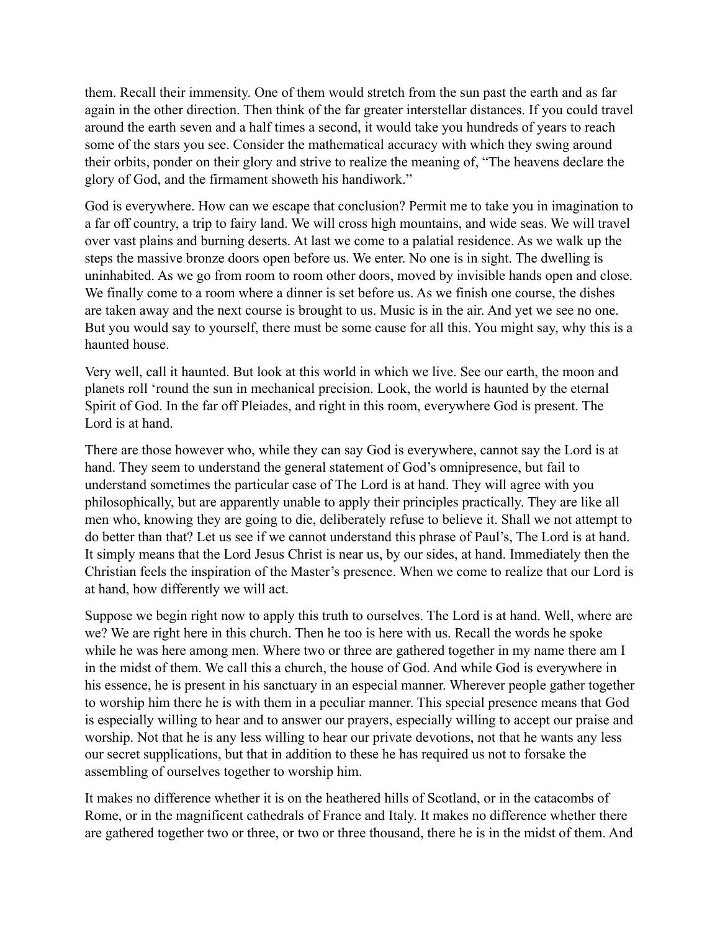them. Recall their immensity. One of them would stretch from the sun past the earth and as far again in the other direction. Then think of the far greater interstellar distances. If you could travel around the earth seven and a half times a second, it would take you hundreds of years to reach some of the stars you see. Consider the mathematical accuracy with which they swing around their orbits, ponder on their glory and strive to realize the meaning of, "The heavens declare the glory of God, and the firmament showeth his handiwork."

God is everywhere. How can we escape that conclusion? Permit me to take you in imagination to a far off country, a trip to fairy land. We will cross high mountains, and wide seas. We will travel over vast plains and burning deserts. At last we come to a palatial residence. As we walk up the steps the massive bronze doors open before us. We enter. No one is in sight. The dwelling is uninhabited. As we go from room to room other doors, moved by invisible hands open and close. We finally come to a room where a dinner is set before us. As we finish one course, the dishes are taken away and the next course is brought to us. Music is in the air. And yet we see no one. But you would say to yourself, there must be some cause for all this. You might say, why this is a haunted house.

Very well, call it haunted. But look at this world in which we live. See our earth, the moon and planets roll 'round the sun in mechanical precision. Look, the world is haunted by the eternal Spirit of God. In the far off Pleiades, and right in this room, everywhere God is present. The Lord is at hand.

There are those however who, while they can say God is everywhere, cannot say the Lord is at hand. They seem to understand the general statement of God's omnipresence, but fail to understand sometimes the particular case of The Lord is at hand. They will agree with you philosophically, but are apparently unable to apply their principles practically. They are like all men who, knowing they are going to die, deliberately refuse to believe it. Shall we not attempt to do better than that? Let us see if we cannot understand this phrase of Paul's, The Lord is at hand. It simply means that the Lord Jesus Christ is near us, by our sides, at hand. Immediately then the Christian feels the inspiration of the Master's presence. When we come to realize that our Lord is at hand, how differently we will act.

Suppose we begin right now to apply this truth to ourselves. The Lord is at hand. Well, where are we? We are right here in this church. Then he too is here with us. Recall the words he spoke while he was here among men. Where two or three are gathered together in my name there am I in the midst of them. We call this a church, the house of God. And while God is everywhere in his essence, he is present in his sanctuary in an especial manner. Wherever people gather together to worship him there he is with them in a peculiar manner. This special presence means that God is especially willing to hear and to answer our prayers, especially willing to accept our praise and worship. Not that he is any less willing to hear our private devotions, not that he wants any less our secret supplications, but that in addition to these he has required us not to forsake the assembling of ourselves together to worship him.

It makes no difference whether it is on the heathered hills of Scotland, or in the catacombs of Rome, or in the magnificent cathedrals of France and Italy. It makes no difference whether there are gathered together two or three, or two or three thousand, there he is in the midst of them. And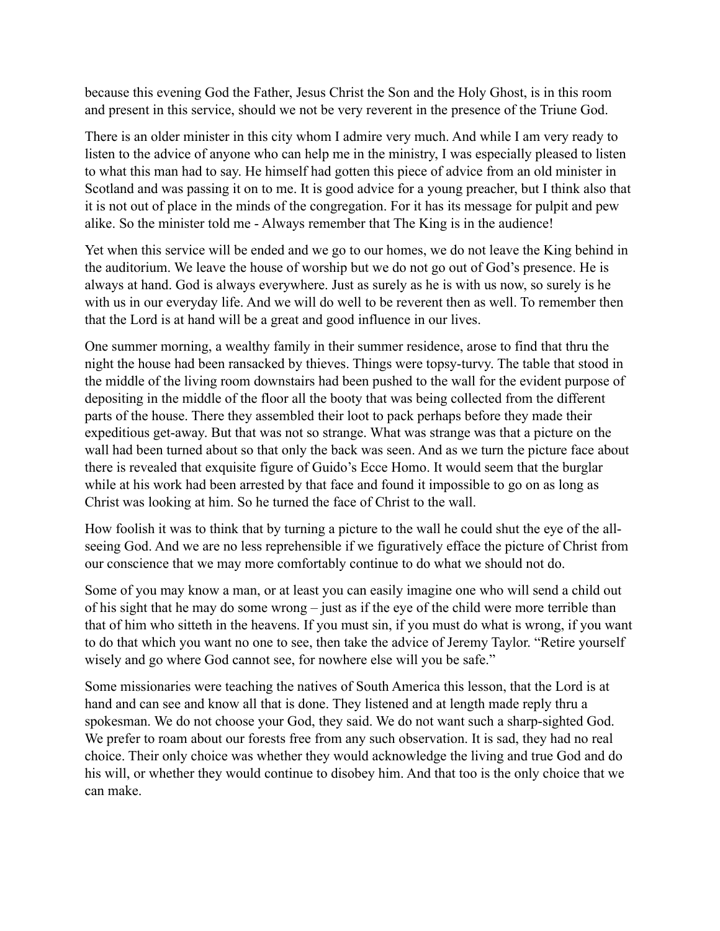because this evening God the Father, Jesus Christ the Son and the Holy Ghost, is in this room and present in this service, should we not be very reverent in the presence of the Triune God.

There is an older minister in this city whom I admire very much. And while I am very ready to listen to the advice of anyone who can help me in the ministry, I was especially pleased to listen to what this man had to say. He himself had gotten this piece of advice from an old minister in Scotland and was passing it on to me. It is good advice for a young preacher, but I think also that it is not out of place in the minds of the congregation. For it has its message for pulpit and pew alike. So the minister told me - Always remember that The King is in the audience!

Yet when this service will be ended and we go to our homes, we do not leave the King behind in the auditorium. We leave the house of worship but we do not go out of God's presence. He is always at hand. God is always everywhere. Just as surely as he is with us now, so surely is he with us in our everyday life. And we will do well to be reverent then as well. To remember then that the Lord is at hand will be a great and good influence in our lives.

One summer morning, a wealthy family in their summer residence, arose to find that thru the night the house had been ransacked by thieves. Things were topsy-turvy. The table that stood in the middle of the living room downstairs had been pushed to the wall for the evident purpose of depositing in the middle of the floor all the booty that was being collected from the different parts of the house. There they assembled their loot to pack perhaps before they made their expeditious get-away. But that was not so strange. What was strange was that a picture on the wall had been turned about so that only the back was seen. And as we turn the picture face about there is revealed that exquisite figure of Guido's Ecce Homo. It would seem that the burglar while at his work had been arrested by that face and found it impossible to go on as long as Christ was looking at him. So he turned the face of Christ to the wall.

How foolish it was to think that by turning a picture to the wall he could shut the eye of the allseeing God. And we are no less reprehensible if we figuratively efface the picture of Christ from our conscience that we may more comfortably continue to do what we should not do.

Some of you may know a man, or at least you can easily imagine one who will send a child out of his sight that he may do some wrong – just as if the eye of the child were more terrible than that of him who sitteth in the heavens. If you must sin, if you must do what is wrong, if you want to do that which you want no one to see, then take the advice of Jeremy Taylor. "Retire yourself wisely and go where God cannot see, for nowhere else will you be safe."

Some missionaries were teaching the natives of South America this lesson, that the Lord is at hand and can see and know all that is done. They listened and at length made reply thru a spokesman. We do not choose your God, they said. We do not want such a sharp-sighted God. We prefer to roam about our forests free from any such observation. It is sad, they had no real choice. Their only choice was whether they would acknowledge the living and true God and do his will, or whether they would continue to disobey him. And that too is the only choice that we can make.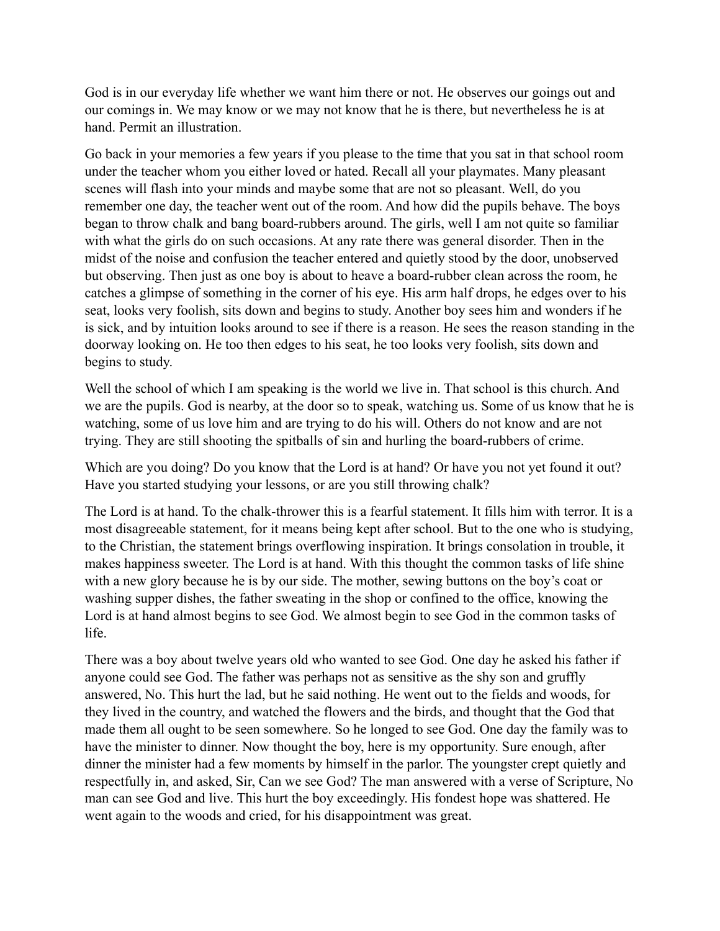God is in our everyday life whether we want him there or not. He observes our goings out and our comings in. We may know or we may not know that he is there, but nevertheless he is at hand. Permit an illustration.

Go back in your memories a few years if you please to the time that you sat in that school room under the teacher whom you either loved or hated. Recall all your playmates. Many pleasant scenes will flash into your minds and maybe some that are not so pleasant. Well, do you remember one day, the teacher went out of the room. And how did the pupils behave. The boys began to throw chalk and bang board-rubbers around. The girls, well I am not quite so familiar with what the girls do on such occasions. At any rate there was general disorder. Then in the midst of the noise and confusion the teacher entered and quietly stood by the door, unobserved but observing. Then just as one boy is about to heave a board-rubber clean across the room, he catches a glimpse of something in the corner of his eye. His arm half drops, he edges over to his seat, looks very foolish, sits down and begins to study. Another boy sees him and wonders if he is sick, and by intuition looks around to see if there is a reason. He sees the reason standing in the doorway looking on. He too then edges to his seat, he too looks very foolish, sits down and begins to study.

Well the school of which I am speaking is the world we live in. That school is this church. And we are the pupils. God is nearby, at the door so to speak, watching us. Some of us know that he is watching, some of us love him and are trying to do his will. Others do not know and are not trying. They are still shooting the spitballs of sin and hurling the board-rubbers of crime.

Which are you doing? Do you know that the Lord is at hand? Or have you not yet found it out? Have you started studying your lessons, or are you still throwing chalk?

The Lord is at hand. To the chalk-thrower this is a fearful statement. It fills him with terror. It is a most disagreeable statement, for it means being kept after school. But to the one who is studying, to the Christian, the statement brings overflowing inspiration. It brings consolation in trouble, it makes happiness sweeter. The Lord is at hand. With this thought the common tasks of life shine with a new glory because he is by our side. The mother, sewing buttons on the boy's coat or washing supper dishes, the father sweating in the shop or confined to the office, knowing the Lord is at hand almost begins to see God. We almost begin to see God in the common tasks of life.

There was a boy about twelve years old who wanted to see God. One day he asked his father if anyone could see God. The father was perhaps not as sensitive as the shy son and gruffly answered, No. This hurt the lad, but he said nothing. He went out to the fields and woods, for they lived in the country, and watched the flowers and the birds, and thought that the God that made them all ought to be seen somewhere. So he longed to see God. One day the family was to have the minister to dinner. Now thought the boy, here is my opportunity. Sure enough, after dinner the minister had a few moments by himself in the parlor. The youngster crept quietly and respectfully in, and asked, Sir, Can we see God? The man answered with a verse of Scripture, No man can see God and live. This hurt the boy exceedingly. His fondest hope was shattered. He went again to the woods and cried, for his disappointment was great.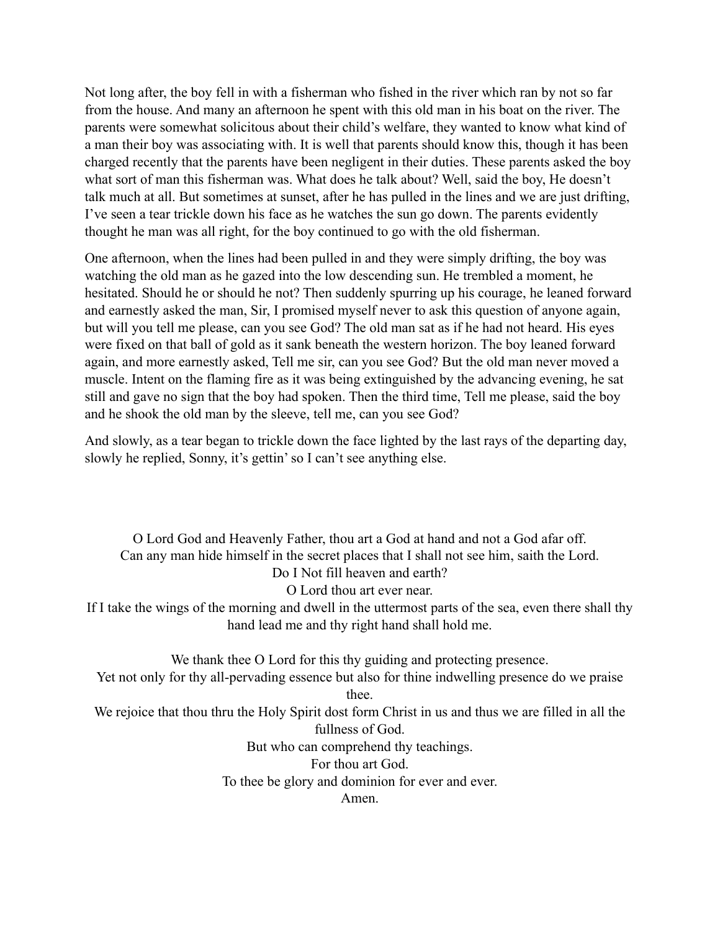Not long after, the boy fell in with a fisherman who fished in the river which ran by not so far from the house. And many an afternoon he spent with this old man in his boat on the river. The parents were somewhat solicitous about their child's welfare, they wanted to know what kind of a man their boy was associating with. It is well that parents should know this, though it has been charged recently that the parents have been negligent in their duties. These parents asked the boy what sort of man this fisherman was. What does he talk about? Well, said the boy, He doesn't talk much at all. But sometimes at sunset, after he has pulled in the lines and we are just drifting, I've seen a tear trickle down his face as he watches the sun go down. The parents evidently thought he man was all right, for the boy continued to go with the old fisherman.

One afternoon, when the lines had been pulled in and they were simply drifting, the boy was watching the old man as he gazed into the low descending sun. He trembled a moment, he hesitated. Should he or should he not? Then suddenly spurring up his courage, he leaned forward and earnestly asked the man, Sir, I promised myself never to ask this question of anyone again, but will you tell me please, can you see God? The old man sat as if he had not heard. His eyes were fixed on that ball of gold as it sank beneath the western horizon. The boy leaned forward again, and more earnestly asked, Tell me sir, can you see God? But the old man never moved a muscle. Intent on the flaming fire as it was being extinguished by the advancing evening, he sat still and gave no sign that the boy had spoken. Then the third time, Tell me please, said the boy and he shook the old man by the sleeve, tell me, can you see God?

And slowly, as a tear began to trickle down the face lighted by the last rays of the departing day, slowly he replied, Sonny, it's gettin' so I can't see anything else.

O Lord God and Heavenly Father, thou art a God at hand and not a God afar off. Can any man hide himself in the secret places that I shall not see him, saith the Lord. Do I Not fill heaven and earth? O Lord thou art ever near.

If I take the wings of the morning and dwell in the uttermost parts of the sea, even there shall thy hand lead me and thy right hand shall hold me.

We thank thee O Lord for this thy guiding and protecting presence. Yet not only for thy all-pervading essence but also for thine indwelling presence do we praise thee. We rejoice that thou thru the Holy Spirit dost form Christ in us and thus we are filled in all the fullness of God. But who can comprehend thy teachings. For thou art God. To thee be glory and dominion for ever and ever. Amen.